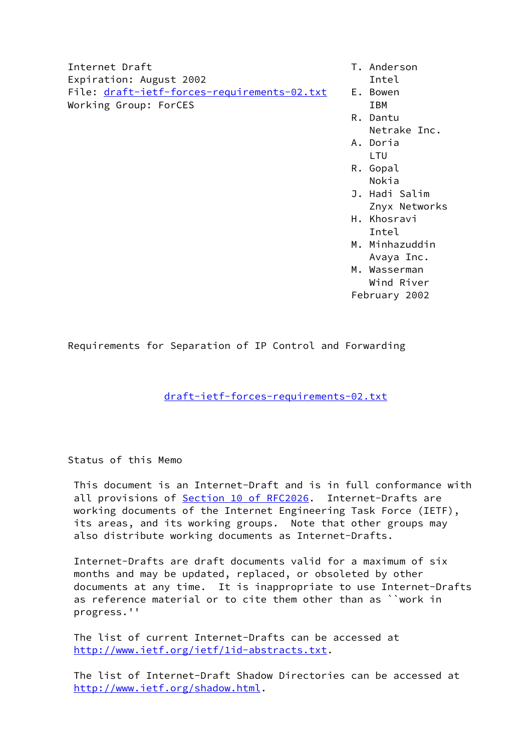Internet Draft T. Anderson Expiration: August 2002 **Intel** File: [draft-ietf-forces-requirements-02.txt](https://datatracker.ietf.org/doc/pdf/draft-ietf-forces-requirements-02.txt) E. Bowen Working Group: ForCES IBM

- 
- 
- R. Dantu
	- Netrake Inc.
- A. Doria LTU
- R. Gopal e di sebagai penuturan di sebagai penuturan di sebagai penuturan di sebagai personal di sebagai personal di se
	- J. Hadi Salim Znyx Networks
- H. Khosravi Intel
	- M. Minhazuddin Avaya Inc.
	- M. Wasserman Wind River February 2002

Requirements for Separation of IP Control and Forwarding

[draft-ietf-forces-requirements-02.txt](https://datatracker.ietf.org/doc/pdf/draft-ietf-forces-requirements-02.txt)

Status of this Memo

 This document is an Internet-Draft and is in full conformance with all provisions of Section [10 of RFC2026.](https://datatracker.ietf.org/doc/pdf/rfc2026#section-10) Internet-Drafts are working documents of the Internet Engineering Task Force (IETF), its areas, and its working groups. Note that other groups may also distribute working documents as Internet-Drafts.

 Internet-Drafts are draft documents valid for a maximum of six months and may be updated, replaced, or obsoleted by other documents at any time. It is inappropriate to use Internet-Drafts as reference material or to cite them other than as ``work in progress.''

 The list of current Internet-Drafts can be accessed at <http://www.ietf.org/ietf/1id-abstracts.txt>.

 The list of Internet-Draft Shadow Directories can be accessed at <http://www.ietf.org/shadow.html>.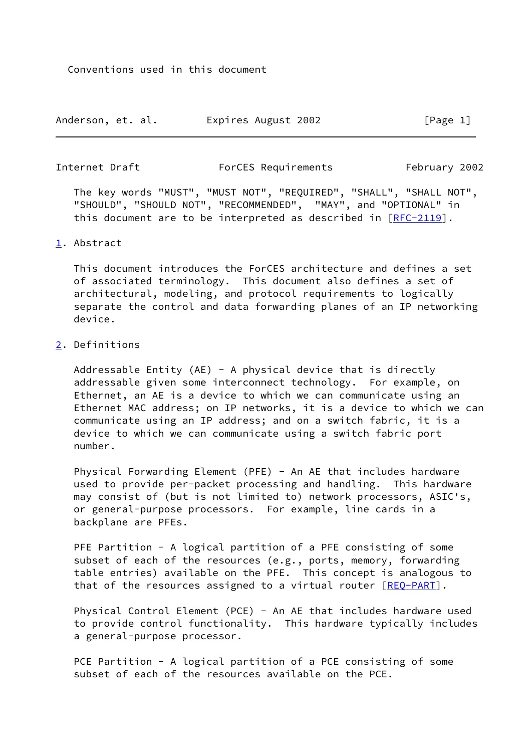| Anderson, et. al. |  | Expires August 2002 |  | [Page 1] |  |
|-------------------|--|---------------------|--|----------|--|
|-------------------|--|---------------------|--|----------|--|

<span id="page-1-2"></span>

| Internet Draft | ForCES Requirements | February 2002 |
|----------------|---------------------|---------------|
|----------------|---------------------|---------------|

 The key words "MUST", "MUST NOT", "REQUIRED", "SHALL", "SHALL NOT", "SHOULD", "SHOULD NOT", "RECOMMENDED", "MAY", and "OPTIONAL" in this document are to be interpreted as described in [\[RFC-2119](https://datatracker.ietf.org/doc/pdf/rfc2119)].

### <span id="page-1-0"></span>[1](#page-1-0). Abstract

 This document introduces the ForCES architecture and defines a set of associated terminology. This document also defines a set of architectural, modeling, and protocol requirements to logically separate the control and data forwarding planes of an IP networking device.

# <span id="page-1-1"></span>[2](#page-1-1). Definitions

Addressable Entity (AE) - A physical device that is directly addressable given some interconnect technology. For example, on Ethernet, an AE is a device to which we can communicate using an Ethernet MAC address; on IP networks, it is a device to which we can communicate using an IP address; and on a switch fabric, it is a device to which we can communicate using a switch fabric port number.

 Physical Forwarding Element (PFE) - An AE that includes hardware used to provide per-packet processing and handling. This hardware may consist of (but is not limited to) network processors, ASIC's, or general-purpose processors. For example, line cards in a backplane are PFEs.

 PFE Partition - A logical partition of a PFE consisting of some subset of each of the resources (e.g., ports, memory, forwarding table entries) available on the PFE. This concept is analogous to that of the resources assigned to a virtual router [[REQ-PART\]](#page-13-0).

 Physical Control Element (PCE) - An AE that includes hardware used to provide control functionality. This hardware typically includes a general-purpose processor.

 PCE Partition - A logical partition of a PCE consisting of some subset of each of the resources available on the PCE.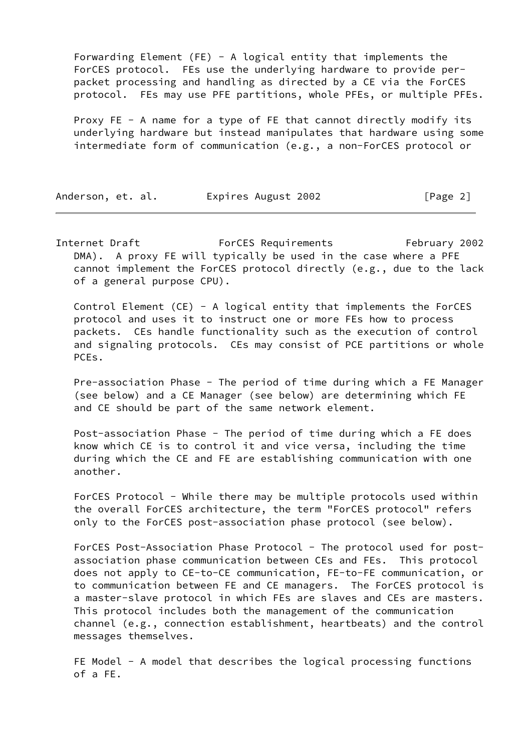Forwarding Element (FE) - A logical entity that implements the ForCES protocol. FEs use the underlying hardware to provide per packet processing and handling as directed by a CE via the ForCES protocol. FEs may use PFE partitions, whole PFEs, or multiple PFEs.

 Proxy FE - A name for a type of FE that cannot directly modify its underlying hardware but instead manipulates that hardware using some intermediate form of communication (e.g., a non-ForCES protocol or

| Anderson, et. al. |  | Expires August 2002 | [Page 2] |  |
|-------------------|--|---------------------|----------|--|
|-------------------|--|---------------------|----------|--|

Internet Draft ForCES Requirements February 2002 DMA). A proxy FE will typically be used in the case where a PFE cannot implement the ForCES protocol directly (e.g., due to the lack of a general purpose CPU).

 Control Element (CE) - A logical entity that implements the ForCES protocol and uses it to instruct one or more FEs how to process packets. CEs handle functionality such as the execution of control and signaling protocols. CEs may consist of PCE partitions or whole PCEs.

 Pre-association Phase - The period of time during which a FE Manager (see below) and a CE Manager (see below) are determining which FE and CE should be part of the same network element.

 Post-association Phase - The period of time during which a FE does know which CE is to control it and vice versa, including the time during which the CE and FE are establishing communication with one another.

 ForCES Protocol - While there may be multiple protocols used within the overall ForCES architecture, the term "ForCES protocol" refers only to the ForCES post-association phase protocol (see below).

 ForCES Post-Association Phase Protocol - The protocol used for post association phase communication between CEs and FEs. This protocol does not apply to CE-to-CE communication, FE-to-FE communication, or to communication between FE and CE managers. The ForCES protocol is a master-slave protocol in which FEs are slaves and CEs are masters. This protocol includes both the management of the communication channel (e.g., connection establishment, heartbeats) and the control messages themselves.

 FE Model - A model that describes the logical processing functions of a FE.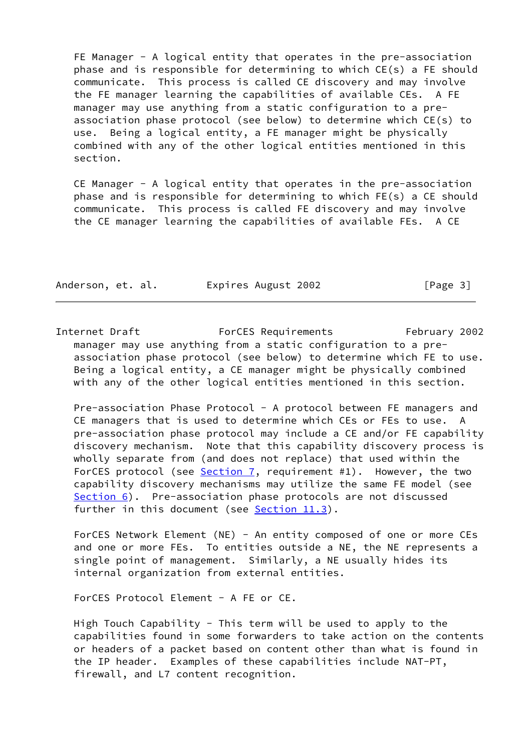FE Manager - A logical entity that operates in the pre-association phase and is responsible for determining to which CE(s) a FE should communicate. This process is called CE discovery and may involve the FE manager learning the capabilities of available CEs. A FE manager may use anything from a static configuration to a pre association phase protocol (see below) to determine which CE(s) to use. Being a logical entity, a FE manager might be physically combined with any of the other logical entities mentioned in this section.

 CE Manager - A logical entity that operates in the pre-association phase and is responsible for determining to which FE(s) a CE should communicate. This process is called FE discovery and may involve the CE manager learning the capabilities of available FEs. A CE

| Anderson, et. al. | Expires August 2002 | [Page 3] |
|-------------------|---------------------|----------|
|-------------------|---------------------|----------|

<span id="page-3-0"></span>Internet Draft ForCES Requirements February 2002 manager may use anything from a static configuration to a pre association phase protocol (see below) to determine which FE to use. Being a logical entity, a CE manager might be physically combined with any of the other logical entities mentioned in this section.

Pre-association Phase Protocol - A protocol between FE managers and CE managers that is used to determine which CEs or FEs to use. pre-association phase protocol may include a CE and/or FE capability discovery mechanism. Note that this capability discovery process is wholly separate from (and does not replace) that used within the ForCES protocol (see [Section 7](#page-10-0), requirement #1). However, the two capability discovery mechanisms may utilize the same FE model (see [Section 6](#page-8-0)). Pre-association phase protocols are not discussed further in this document (see Section 11.3).

 ForCES Network Element (NE) - An entity composed of one or more CEs and one or more FEs. To entities outside a NE, the NE represents a single point of management. Similarly, a NE usually hides its internal organization from external entities.

ForCES Protocol Element - A FE or CE.

High Touch Capability - This term will be used to apply to the capabilities found in some forwarders to take action on the contents or headers of a packet based on content other than what is found in the IP header. Examples of these capabilities include NAT-PT, firewall, and L7 content recognition.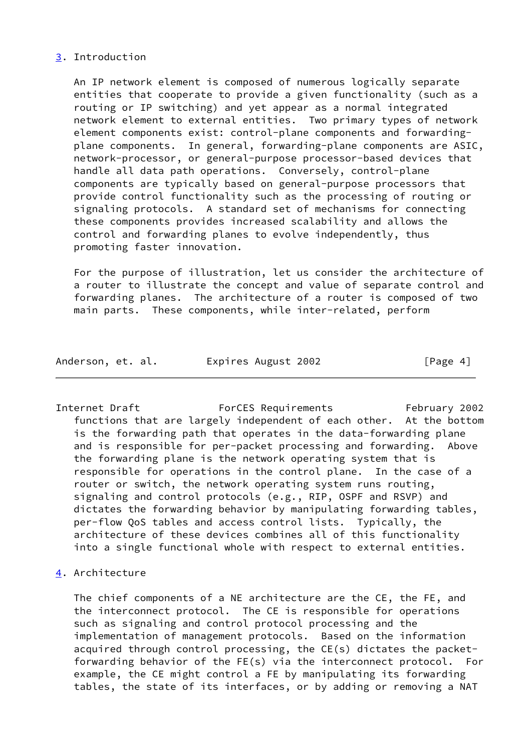# <span id="page-4-0"></span>[3](#page-4-0). Introduction

 An IP network element is composed of numerous logically separate entities that cooperate to provide a given functionality (such as a routing or IP switching) and yet appear as a normal integrated network element to external entities. Two primary types of network element components exist: control-plane components and forwarding plane components. In general, forwarding-plane components are ASIC, network-processor, or general-purpose processor-based devices that handle all data path operations. Conversely, control-plane components are typically based on general-purpose processors that provide control functionality such as the processing of routing or signaling protocols. A standard set of mechanisms for connecting these components provides increased scalability and allows the control and forwarding planes to evolve independently, thus promoting faster innovation.

 For the purpose of illustration, let us consider the architecture of a router to illustrate the concept and value of separate control and forwarding planes. The architecture of a router is composed of two main parts. These components, while inter-related, perform

| Anderson, et. al. |  | Expires August 2002 | [Page 4] |
|-------------------|--|---------------------|----------|
|-------------------|--|---------------------|----------|

<span id="page-4-2"></span>Internet Draft ForCES Requirements February 2002 functions that are largely independent of each other. At the bottom is the forwarding path that operates in the data-forwarding plane and is responsible for per-packet processing and forwarding. Above the forwarding plane is the network operating system that is responsible for operations in the control plane. In the case of a router or switch, the network operating system runs routing, signaling and control protocols (e.g., RIP, OSPF and RSVP) and dictates the forwarding behavior by manipulating forwarding tables, per-flow QoS tables and access control lists. Typically, the architecture of these devices combines all of this functionality into a single functional whole with respect to external entities.

<span id="page-4-1"></span>[4](#page-4-1). Architecture

 The chief components of a NE architecture are the CE, the FE, and the interconnect protocol. The CE is responsible for operations such as signaling and control protocol processing and the implementation of management protocols. Based on the information acquired through control processing, the CE(s) dictates the packet forwarding behavior of the FE(s) via the interconnect protocol. For example, the CE might control a FE by manipulating its forwarding tables, the state of its interfaces, or by adding or removing a NAT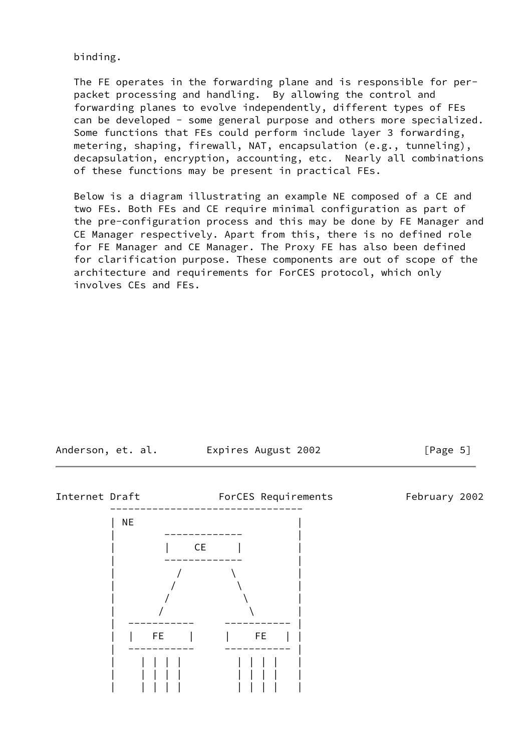binding.

 The FE operates in the forwarding plane and is responsible for per packet processing and handling. By allowing the control and forwarding planes to evolve independently, different types of FEs can be developed - some general purpose and others more specialized. Some functions that FEs could perform include layer 3 forwarding, metering, shaping, firewall, NAT, encapsulation (e.g., tunneling), decapsulation, encryption, accounting, etc. Nearly all combinations of these functions may be present in practical FEs.

 Below is a diagram illustrating an example NE composed of a CE and two FEs. Both FEs and CE require minimal configuration as part of the pre-configuration process and this may be done by FE Manager and CE Manager respectively. Apart from this, there is no defined role for FE Manager and CE Manager. The Proxy FE has also been defined for clarification purpose. These components are out of scope of the architecture and requirements for ForCES protocol, which only involves CEs and FEs.

Anderson, et. al. Expires August 2002 [Page 5]

<span id="page-5-0"></span>

| | | | | | | | | |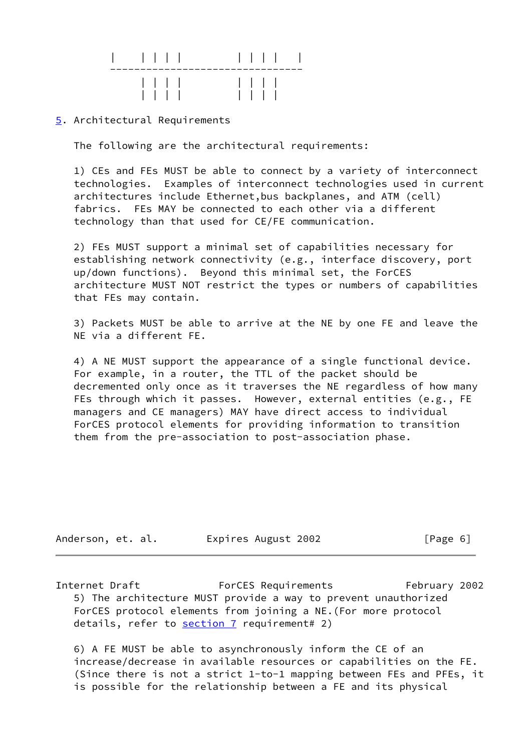|  | 1111 |  |  | $\vert \vert$ $\vert$ $\vert$ $\vert$ |  |
|--|------|--|--|---------------------------------------|--|

## <span id="page-6-0"></span>[5](#page-6-0). Architectural Requirements

The following are the architectural requirements:

 1) CEs and FEs MUST be able to connect by a variety of interconnect technologies. Examples of interconnect technologies used in current architectures include Ethernet,bus backplanes, and ATM (cell) fabrics. FEs MAY be connected to each other via a different technology than that used for CE/FE communication.

 2) FEs MUST support a minimal set of capabilities necessary for establishing network connectivity (e.g., interface discovery, port up/down functions). Beyond this minimal set, the ForCES architecture MUST NOT restrict the types or numbers of capabilities that FEs may contain.

 3) Packets MUST be able to arrive at the NE by one FE and leave the NE via a different FE.

 4) A NE MUST support the appearance of a single functional device. For example, in a router, the TTL of the packet should be decremented only once as it traverses the NE regardless of how many FEs through which it passes. However, external entities (e.g., FE managers and CE managers) MAY have direct access to individual ForCES protocol elements for providing information to transition them from the pre-association to post-association phase.

| Anderson, et. al. |  |  | Expires August 2002 | [Page 6] |
|-------------------|--|--|---------------------|----------|
|-------------------|--|--|---------------------|----------|

Internet Draft ForCES Requirements February 2002 5) The architecture MUST provide a way to prevent unauthorized ForCES protocol elements from joining a NE.(For more protocol details, refer to [section 7](#page-10-0) requirement# 2)

 6) A FE MUST be able to asynchronously inform the CE of an increase/decrease in available resources or capabilities on the FE. (Since there is not a strict 1-to-1 mapping between FEs and PFEs, it is possible for the relationship between a FE and its physical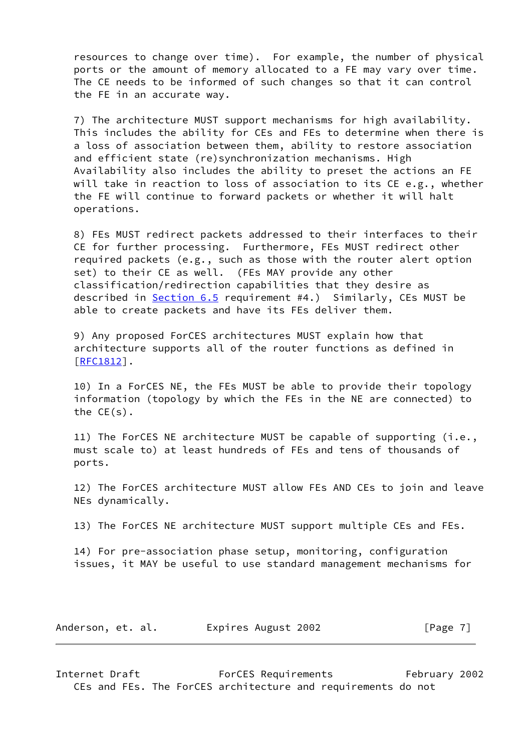resources to change over time). For example, the number of physical ports or the amount of memory allocated to a FE may vary over time. The CE needs to be informed of such changes so that it can control the FE in an accurate way.

 7) The architecture MUST support mechanisms for high availability. This includes the ability for CEs and FEs to determine when there is a loss of association between them, ability to restore association and efficient state (re)synchronization mechanisms. High Availability also includes the ability to preset the actions an FE will take in reaction to loss of association to its CE e.g., whether the FE will continue to forward packets or whether it will halt operations.

 8) FEs MUST redirect packets addressed to their interfaces to their CE for further processing. Furthermore, FEs MUST redirect other required packets (e.g., such as those with the router alert option set) to their CE as well. (FEs MAY provide any other classification/redirection capabilities that they desire as described in [Section 6.5](#page-9-0) requirement #4.) Similarly, CEs MUST be able to create packets and have its FEs deliver them.

 9) Any proposed ForCES architectures MUST explain how that architecture supports all of the router functions as defined in [\[RFC1812](https://datatracker.ietf.org/doc/pdf/rfc1812)].

 10) In a ForCES NE, the FEs MUST be able to provide their topology information (topology by which the FEs in the NE are connected) to the CE(s).

 11) The ForCES NE architecture MUST be capable of supporting (i.e., must scale to) at least hundreds of FEs and tens of thousands of ports.

 12) The ForCES architecture MUST allow FEs AND CEs to join and leave NEs dynamically.

13) The ForCES NE architecture MUST support multiple CEs and FEs.

 14) For pre-association phase setup, monitoring, configuration issues, it MAY be useful to use standard management mechanisms for

| Expires August 2002<br>Anderson, et. al. | [Page 7] |
|------------------------------------------|----------|
|------------------------------------------|----------|

<span id="page-7-0"></span>Internet Draft ForCES Requirements February 2002 CEs and FEs. The ForCES architecture and requirements do not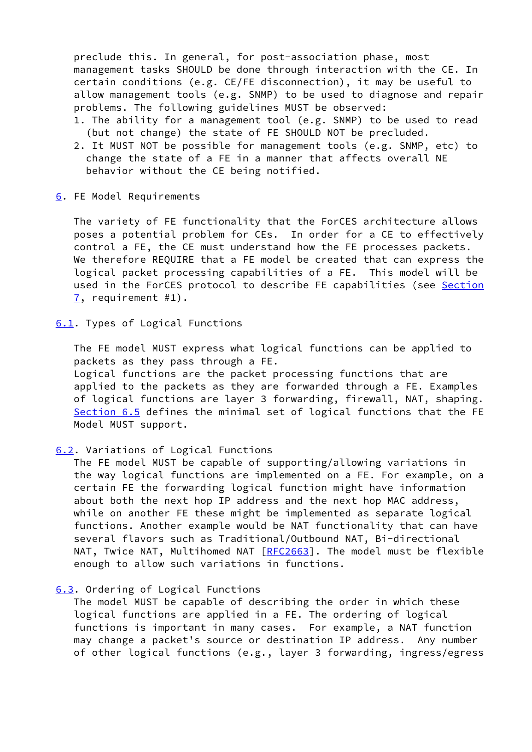preclude this. In general, for post-association phase, most management tasks SHOULD be done through interaction with the CE. In certain conditions (e.g. CE/FE disconnection), it may be useful to allow management tools (e.g. SNMP) to be used to diagnose and repair problems. The following guidelines MUST be observed:

- 1. The ability for a management tool (e.g. SNMP) to be used to read (but not change) the state of FE SHOULD NOT be precluded.
- 2. It MUST NOT be possible for management tools (e.g. SNMP, etc) to change the state of a FE in a manner that affects overall NE behavior without the CE being notified.
- <span id="page-8-0"></span>[6](#page-8-0). FE Model Requirements

 The variety of FE functionality that the ForCES architecture allows poses a potential problem for CEs. In order for a CE to effectively control a FE, the CE must understand how the FE processes packets. We therefore REQUIRE that a FE model be created that can express the logical packet processing capabilities of a FE. This model will be used in the ForCES protocol to describe FE capabilities (see [Section](#page-10-0) [7](#page-10-0), requirement #1).

# <span id="page-8-1"></span>[6.1](#page-8-1). Types of Logical Functions

 The FE model MUST express what logical functions can be applied to packets as they pass through a FE. Logical functions are the packet processing functions that are applied to the packets as they are forwarded through a FE. Examples of logical functions are layer 3 forwarding, firewall, NAT, shaping. [Section 6.5](#page-9-0) defines the minimal set of logical functions that the FE Model MUST support.

# <span id="page-8-2"></span>[6.2](#page-8-2). Variations of Logical Functions

 The FE model MUST be capable of supporting/allowing variations in the way logical functions are implemented on a FE. For example, on a certain FE the forwarding logical function might have information about both the next hop IP address and the next hop MAC address, while on another FE these might be implemented as separate logical functions. Another example would be NAT functionality that can have several flavors such as Traditional/Outbound NAT, Bi-directional NAT, Twice NAT, Multihomed NAT [\[RFC2663](https://datatracker.ietf.org/doc/pdf/rfc2663)]. The model must be flexible enough to allow such variations in functions.

#### <span id="page-8-3"></span>[6.3](#page-8-3). Ordering of Logical Functions

 The model MUST be capable of describing the order in which these logical functions are applied in a FE. The ordering of logical functions is important in many cases. For example, a NAT function may change a packet's source or destination IP address. Any number of other logical functions (e.g., layer 3 forwarding, ingress/egress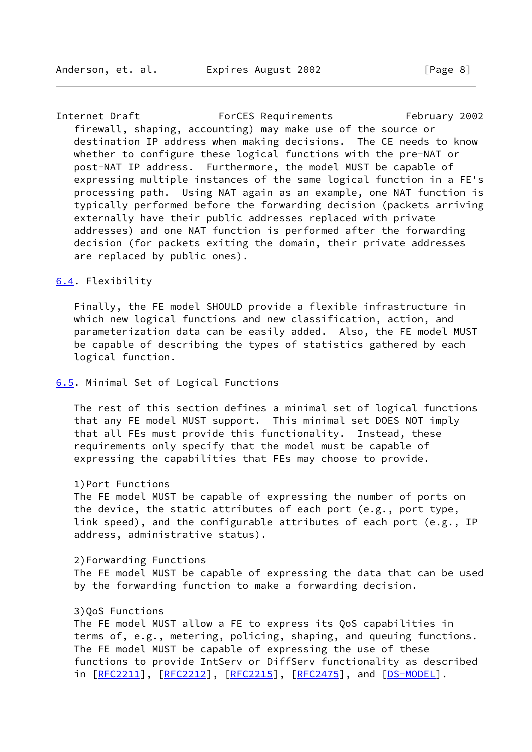<span id="page-9-2"></span>Internet Draft ForCES Requirements February 2002 firewall, shaping, accounting) may make use of the source or destination IP address when making decisions. The CE needs to know whether to configure these logical functions with the pre-NAT or post-NAT IP address. Furthermore, the model MUST be capable of expressing multiple instances of the same logical function in a FE's processing path. Using NAT again as an example, one NAT function is typically performed before the forwarding decision (packets arriving externally have their public addresses replaced with private addresses) and one NAT function is performed after the forwarding decision (for packets exiting the domain, their private addresses are replaced by public ones).

#### <span id="page-9-1"></span>[6.4](#page-9-1). Flexibility

 Finally, the FE model SHOULD provide a flexible infrastructure in which new logical functions and new classification, action, and parameterization data can be easily added. Also, the FE model MUST be capable of describing the types of statistics gathered by each logical function.

### <span id="page-9-0"></span>[6.5](#page-9-0). Minimal Set of Logical Functions

 The rest of this section defines a minimal set of logical functions that any FE model MUST support. This minimal set DOES NOT imply that all FEs must provide this functionality. Instead, these requirements only specify that the model must be capable of expressing the capabilities that FEs may choose to provide.

#### 1)Port Functions

 The FE model MUST be capable of expressing the number of ports on the device, the static attributes of each port (e.g., port type, link speed), and the configurable attributes of each port (e.g., IP address, administrative status).

 2)Forwarding Functions The FE model MUST be capable of expressing the data that can be used by the forwarding function to make a forwarding decision.

## 3)QoS Functions

 The FE model MUST allow a FE to express its QoS capabilities in terms of, e.g., metering, policing, shaping, and queuing functions. The FE model MUST be capable of expressing the use of these functions to provide IntServ or DiffServ functionality as described in  $[REC2211]$ ,  $[REC2212]$ ,  $[REC2215]$ ,  $[REC2475]$ , and  $[DS-MODEL]$  $[DS-MODEL]$ .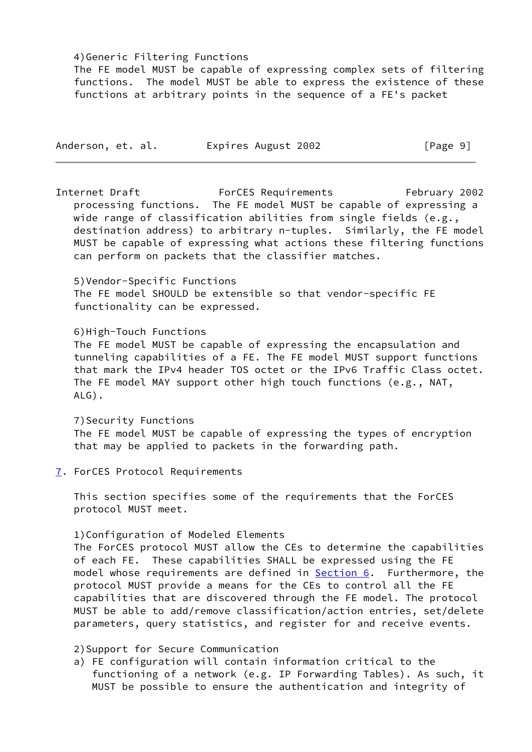### 4)Generic Filtering Functions

 The FE model MUST be capable of expressing complex sets of filtering functions. The model MUST be able to express the existence of these functions at arbitrary points in the sequence of a FE's packet

| Anderson, et. al. |  | Expires August 2002 | [Page 9] |  |
|-------------------|--|---------------------|----------|--|
|-------------------|--|---------------------|----------|--|

<span id="page-10-1"></span>Internet Draft ForCES Requirements February 2002 processing functions. The FE model MUST be capable of expressing a wide range of classification abilities from single fields (e.g., destination address) to arbitrary n-tuples. Similarly, the FE model MUST be capable of expressing what actions these filtering functions can perform on packets that the classifier matches.

## 5)Vendor-Specific Functions

 The FE model SHOULD be extensible so that vendor-specific FE functionality can be expressed.

## 6)High-Touch Functions

 The FE model MUST be capable of expressing the encapsulation and tunneling capabilities of a FE. The FE model MUST support functions that mark the IPv4 header TOS octet or the IPv6 Traffic Class octet. The FE model MAY support other high touch functions (e.g., NAT, ALG).

 7)Security Functions The FE model MUST be capable of expressing the types of encryption that may be applied to packets in the forwarding path.

<span id="page-10-0"></span>[7](#page-10-0). ForCES Protocol Requirements

 This section specifies some of the requirements that the ForCES protocol MUST meet.

# 1)Configuration of Modeled Elements

 The ForCES protocol MUST allow the CEs to determine the capabilities of each FE. These capabilities SHALL be expressed using the FE model whose requirements are defined in  $Section 6$ . Furthermore, the protocol MUST provide a means for the CEs to control all the FE capabilities that are discovered through the FE model. The protocol MUST be able to add/remove classification/action entries, set/delete parameters, query statistics, and register for and receive events.

# 2)Support for Secure Communication

 a) FE configuration will contain information critical to the functioning of a network (e.g. IP Forwarding Tables). As such, it MUST be possible to ensure the authentication and integrity of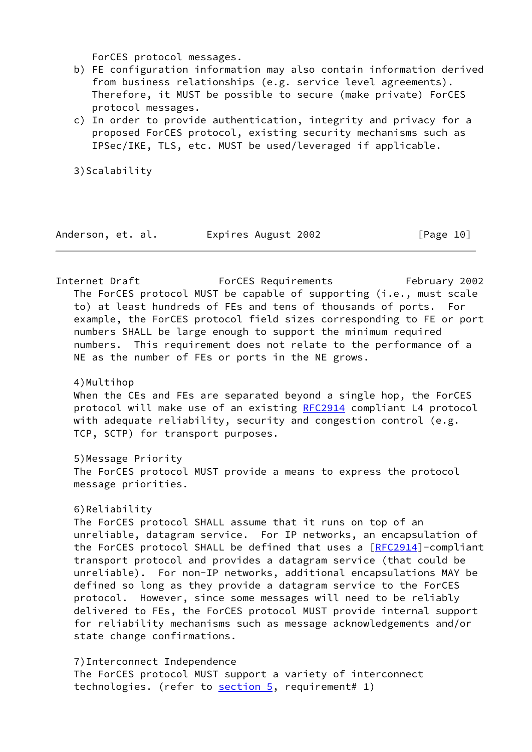ForCES protocol messages.

- b) FE configuration information may also contain information derived from business relationships (e.g. service level agreements). Therefore, it MUST be possible to secure (make private) ForCES protocol messages.
- c) In order to provide authentication, integrity and privacy for a proposed ForCES protocol, existing security mechanisms such as IPSec/IKE, TLS, etc. MUST be used/leveraged if applicable.

3)Scalability

| Anderson, et. al. |  |  |  | Expires August 2002 | [Page 10] |
|-------------------|--|--|--|---------------------|-----------|
|-------------------|--|--|--|---------------------|-----------|

Internet Draft ForCES Requirements February 2002 The ForCES protocol MUST be capable of supporting (i.e., must scale to) at least hundreds of FEs and tens of thousands of ports. For example, the ForCES protocol field sizes corresponding to FE or port numbers SHALL be large enough to support the minimum required numbers. This requirement does not relate to the performance of a NE as the number of FEs or ports in the NE grows.

4)Multihop

 When the CEs and FEs are separated beyond a single hop, the ForCES protocol will make use of an existing [RFC2914](https://datatracker.ietf.org/doc/pdf/rfc2914) compliant L4 protocol with adequate reliability, security and congestion control (e.g. TCP, SCTP) for transport purposes.

5)Message Priority

 The ForCES protocol MUST provide a means to express the protocol message priorities.

# 6)Reliability

 The ForCES protocol SHALL assume that it runs on top of an unreliable, datagram service. For IP networks, an encapsulation of the ForCES protocol SHALL be defined that uses a [\[RFC2914](https://datatracker.ietf.org/doc/pdf/rfc2914)]-compliant transport protocol and provides a datagram service (that could be unreliable). For non-IP networks, additional encapsulations MAY be defined so long as they provide a datagram service to the ForCES protocol. However, since some messages will need to be reliably delivered to FEs, the ForCES protocol MUST provide internal support for reliability mechanisms such as message acknowledgements and/or state change confirmations.

 7)Interconnect Independence The ForCES protocol MUST support a variety of interconnect technologies. (refer to [section 5](#page-6-0), requirement# 1)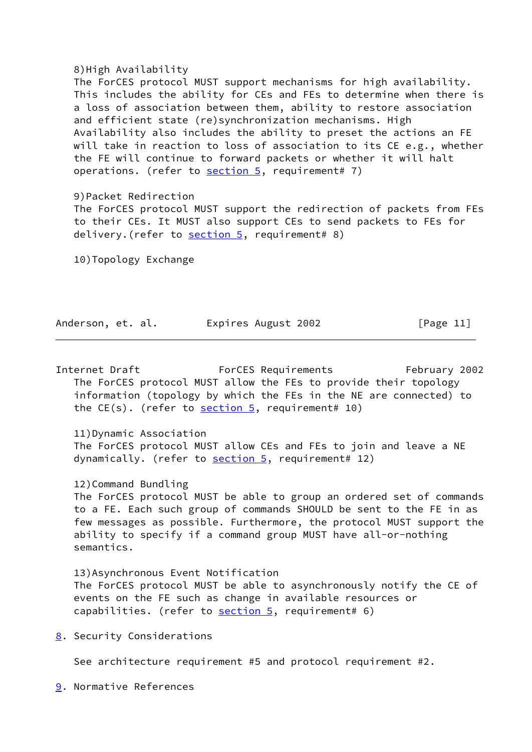### 8)High Availability

 The ForCES protocol MUST support mechanisms for high availability. This includes the ability for CEs and FEs to determine when there is a loss of association between them, ability to restore association and efficient state (re)synchronization mechanisms. High Availability also includes the ability to preset the actions an FE will take in reaction to loss of association to its CE e.g., whether the FE will continue to forward packets or whether it will halt operations. (refer to  $section 5$ , requirement# 7)

## 9)Packet Redirection

 The ForCES protocol MUST support the redirection of packets from FEs to their CEs. It MUST also support CEs to send packets to FEs for delivery. (refer to [section 5,](#page-6-0) requirement# 8)

10)Topology Exchange

| Anderson, et. al. |  | Expires August 2002 | [Page 11] |
|-------------------|--|---------------------|-----------|
|-------------------|--|---------------------|-----------|

<span id="page-12-2"></span>Internet Draft ForCES Requirements February 2002 The ForCES protocol MUST allow the FEs to provide their topology information (topology by which the FEs in the NE are connected) to the  $CE(s)$ . (refer to section  $5$ , requirement# 10)

 11)Dynamic Association The ForCES protocol MUST allow CEs and FEs to join and leave a NE dynamically. (refer to [section 5,](#page-6-0) requirement# 12)

 12)Command Bundling The ForCES protocol MUST be able to group an ordered set of commands to a FE. Each such group of commands SHOULD be sent to the FE in as few messages as possible. Furthermore, the protocol MUST support the ability to specify if a command group MUST have all-or-nothing semantics.

 13)Asynchronous Event Notification The ForCES protocol MUST be able to asynchronously notify the CE of events on the FE such as change in available resources or capabilities. (refer to  $section 5$ , requirement# 6)

<span id="page-12-0"></span>[8](#page-12-0). Security Considerations

See architecture requirement #5 and protocol requirement #2.

<span id="page-12-1"></span>[9](#page-12-1). Normative References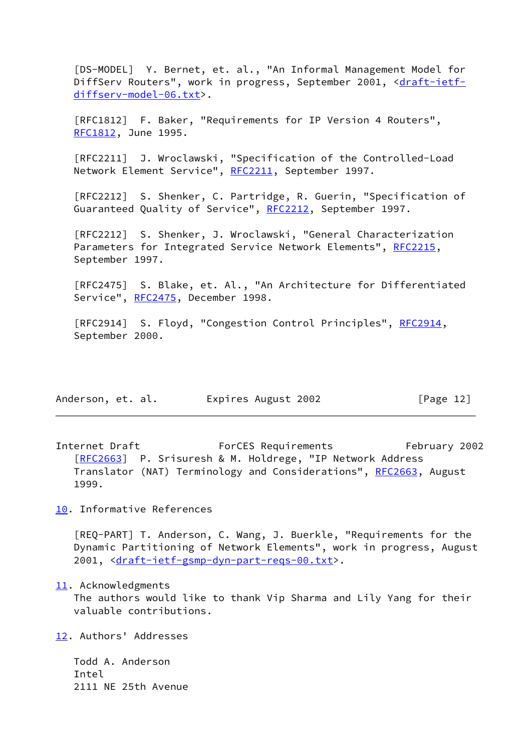<span id="page-13-1"></span> [DS-MODEL] Y. Bernet, et. al., "An Informal Management Model for DiffServ Routers", work in progress, September 2001, [<draft-ietf](https://datatracker.ietf.org/doc/pdf/draft-ietf-diffserv-model-06.txt) [diffserv-model-06.txt](https://datatracker.ietf.org/doc/pdf/draft-ietf-diffserv-model-06.txt)>.

 [RFC1812] F. Baker, "Requirements for IP Version 4 Routers", [RFC1812](https://datatracker.ietf.org/doc/pdf/rfc1812), June 1995.

 [RFC2211] J. Wroclawski, "Specification of the Controlled-Load Network Element Service", [RFC2211](https://datatracker.ietf.org/doc/pdf/rfc2211), September 1997.

 [RFC2212] S. Shenker, C. Partridge, R. Guerin, "Specification of Guaranteed Quality of Service", [RFC2212](https://datatracker.ietf.org/doc/pdf/rfc2212), September 1997.

 [RFC2212] S. Shenker, J. Wroclawski, "General Characterization Parameters for Integrated Service Network Elements", [RFC2215](https://datatracker.ietf.org/doc/pdf/rfc2215), September 1997.

 [RFC2475] S. Blake, et. Al., "An Architecture for Differentiated Service", [RFC2475](https://datatracker.ietf.org/doc/pdf/rfc2475), December 1998.

[RFC2914] S. Floyd, "Congestion Control Principles", [RFC2914](https://datatracker.ietf.org/doc/pdf/rfc2914), September 2000.

| Anderson, et. al. | Expires August 2002 | [Page 12] |
|-------------------|---------------------|-----------|
|-------------------|---------------------|-----------|

<span id="page-13-5"></span>Internet Draft ForCES Requirements February 2002 [\[RFC2663](https://datatracker.ietf.org/doc/pdf/rfc2663)] P. Srisuresh & M. Holdrege, "IP Network Address Translator (NAT) Terminology and Considerations", [RFC2663](https://datatracker.ietf.org/doc/pdf/rfc2663), August 1999.

<span id="page-13-2"></span>[10.](#page-13-2) Informative References

<span id="page-13-0"></span> [REQ-PART] T. Anderson, C. Wang, J. Buerkle, "Requirements for the Dynamic Partitioning of Network Elements", work in progress, August 2001, <[draft-ietf-gsmp-dyn-part-reqs-00.txt>](https://datatracker.ietf.org/doc/pdf/draft-ietf-gsmp-dyn-part-reqs-00.txt).

<span id="page-13-3"></span>[11.](#page-13-3) Acknowledgments

 The authors would like to thank Vip Sharma and Lily Yang for their valuable contributions.

<span id="page-13-4"></span>[12.](#page-13-4) Authors' Addresses

 Todd A. Anderson Intel 2111 NE 25th Avenue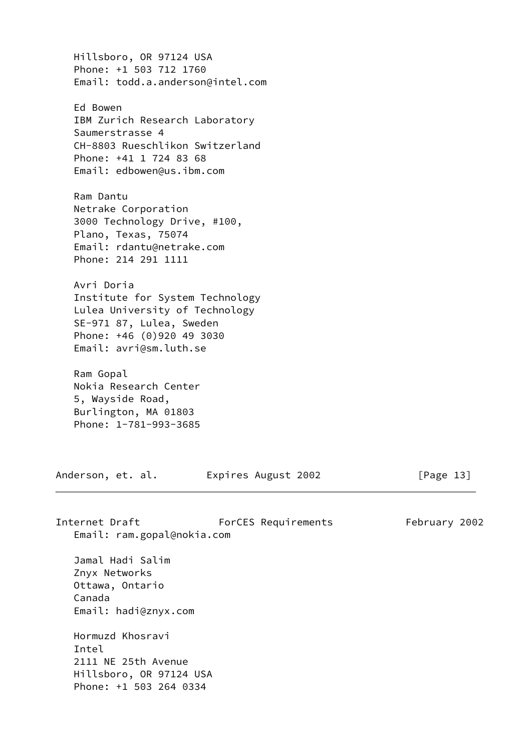Hillsboro, OR 97124 USA Phone: +1 503 712 1760 Email: todd.a.anderson@intel.com Ed Bowen IBM Zurich Research Laboratory Saumerstrasse 4 CH-8803 Rueschlikon Switzerland Phone: +41 1 724 83 68 Email: edbowen@us.ibm.com Ram Dantu Netrake Corporation 3000 Technology Drive, #100, Plano, Texas, 75074 Email: rdantu@netrake.com Phone: 214 291 1111 Avri Doria Institute for System Technology Lulea University of Technology SE-971 87, Lulea, Sweden Phone: +46 (0)920 49 3030 Email: avri@sm.luth.se Ram Gopal Nokia Research Center 5, Wayside Road, Burlington, MA 01803 Phone: 1-781-993-3685 Anderson, et. al. Expires August 2002 [Page 13] Internet Draft ForCES Requirements February 2002 Email: ram.gopal@nokia.com Jamal Hadi Salim Znyx Networks Ottawa, Ontario Canada Email: hadi@znyx.com

 Hormuzd Khosravi Intel 2111 NE 25th Avenue Hillsboro, OR 97124 USA Phone: +1 503 264 0334